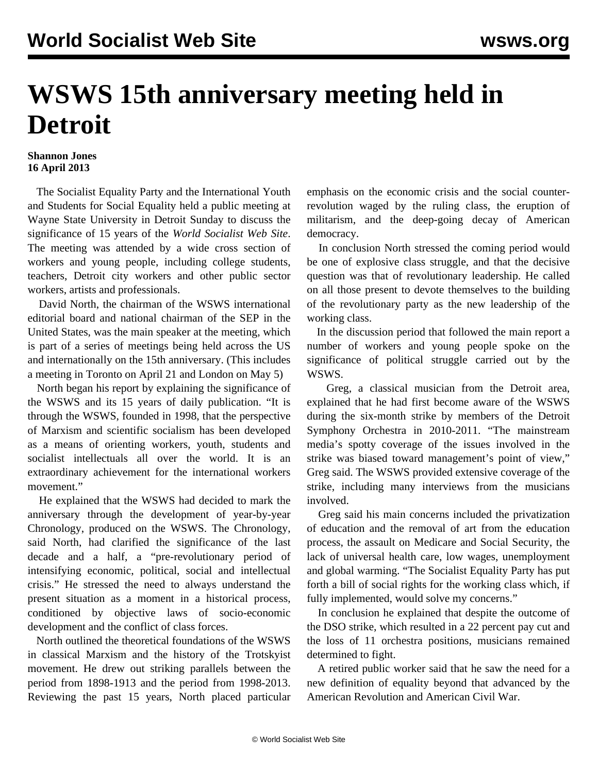## **WSWS 15th anniversary meeting held in Detroit**

## **Shannon Jones 16 April 2013**

 The Socialist Equality Party and the International Youth and Students for Social Equality held a public meeting at Wayne State University in Detroit Sunday to discuss the significance of 15 years of the *World Socialist Web Site*. The meeting was attended by a wide cross section of workers and young people, including college students, teachers, Detroit city workers and other public sector workers, artists and professionals.

 David North, the chairman of the WSWS international editorial board and national chairman of the SEP in the United States, was the main speaker at the meeting, which is part of a series of meetings being held across the US and internationally on the 15th anniversary. (This includes a meeting in [Toronto](/en/articles/2013/03/30/meet-m30.html) on April 21 and [London](/en/articles/2013/03/20/wsws-m20.html) on May 5)

 North began his report by explaining the significance of the WSWS and its 15 years of daily publication. "It is through the WSWS, founded in 1998, that the perspective of Marxism and scientific socialism has been developed as a means of orienting workers, youth, students and socialist intellectuals all over the world. It is an extraordinary achievement for the international workers movement."

 He explained that the WSWS had decided to mark the anniversary through the development of year-by-year [Chronology](/en/special/anniversary), produced on the WSWS. The Chronology, said North, had clarified the significance of the last decade and a half, a "pre-revolutionary period of intensifying economic, political, social and intellectual crisis." He stressed the need to always understand the present situation as a moment in a historical process, conditioned by objective laws of socio-economic development and the conflict of class forces.

 North outlined the theoretical foundations of the WSWS in classical Marxism and the history of the Trotskyist movement. He drew out striking parallels between the period from 1898-1913 and the period from 1998-2013. Reviewing the past 15 years, North placed particular emphasis on the economic crisis and the social counterrevolution waged by the ruling class, the eruption of militarism, and the deep-going decay of American democracy.

 In conclusion North stressed the coming period would be one of explosive class struggle, and that the decisive question was that of revolutionary leadership. He called on all those present to devote themselves to the building of the revolutionary party as the new leadership of the working class.

 In the discussion period that followed the main report a number of workers and young people spoke on the significance of political struggle carried out by the WSWS.

 Greg, a classical musician from the Detroit area, explained that he had first become aware of the WSWS during the six-month strike by members of the Detroit Symphony Orchestra in 2010-2011. "The mainstream media's spotty coverage of the issues involved in the strike was biased toward management's point of view," Greg said. The WSWS provided extensive coverage of the strike, including many interviews from the musicians involved.

 Greg said his main concerns included the privatization of education and the removal of art from the education process, the assault on Medicare and Social Security, the lack of universal health care, low wages, unemployment and global warming. "The Socialist Equality Party has put forth a bill of social rights for the working class which, if fully implemented, would solve my concerns."

 In conclusion he explained that despite the outcome of the DSO strike, which resulted in a 22 percent pay cut and the loss of 11 orchestra positions, musicians remained determined to fight.

 A retired public worker said that he saw the need for a new definition of equality beyond that advanced by the American Revolution and American Civil War.